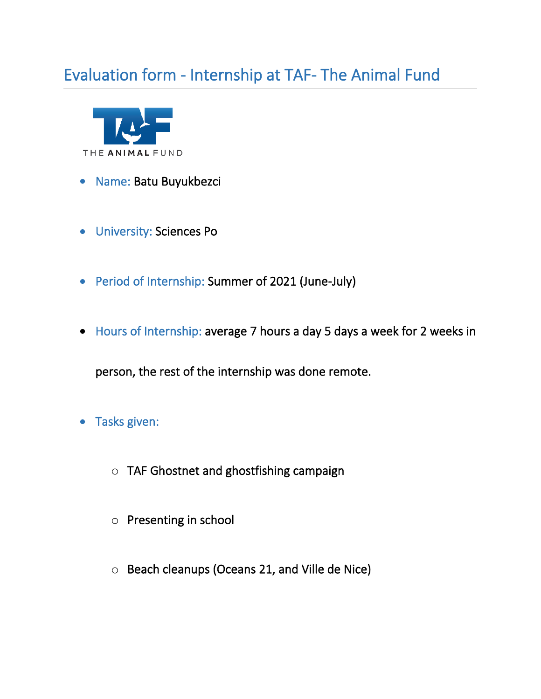## Evaluation form - Internship at TAF- The Animal Fund



- Name: Batu Buyukbezci
- University: Sciences Po
- Period of Internship: Summer of 2021 (June-July)
- Hours of Internship: average 7 hours a day 5 days a week for 2 weeks in

person, the rest of the internship was done remote.

- Tasks given:
	- o TAF Ghostnet and ghostfishing campaign
	- o Presenting in school
	- o Beach cleanups (Oceans 21, and Ville de Nice)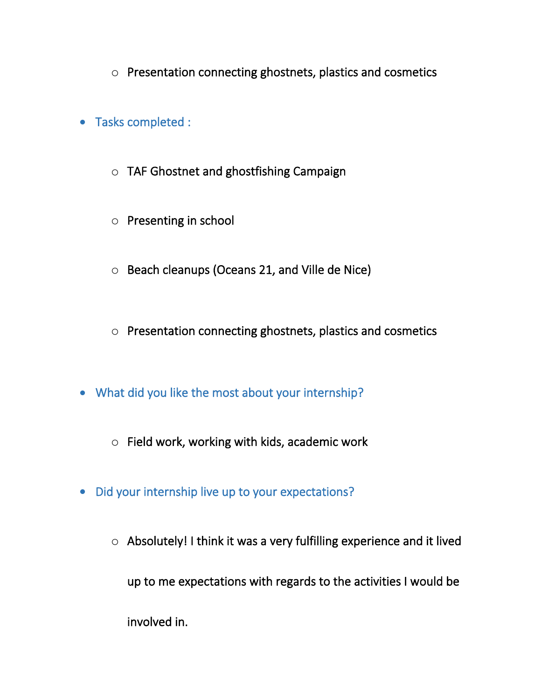- o Presentation connecting ghostnets, plastics and cosmetics
- Tasks completed :
	- o TAF Ghostnet and ghostfishing Campaign
	- o Presenting in school
	- o Beach cleanups (Oceans 21, and Ville de Nice)
	- o Presentation connecting ghostnets, plastics and cosmetics
- What did you like the most about your internship?
	- o Field work, working with kids, academic work
- Did your internship live up to your expectations?
	- o Absolutely! I think it was a very fulfilling experience and it lived up to me expectations with regards to the activities I would be involved in.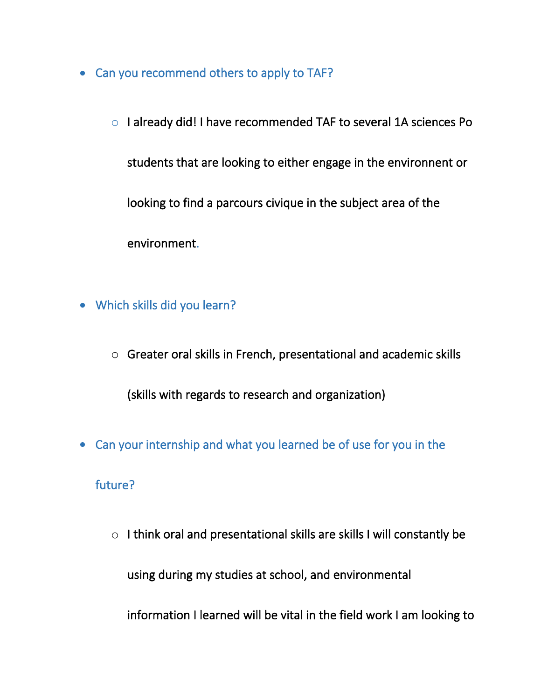- Can you recommend others to apply to TAF?
	- o I already did! I have recommended TAF to several 1A sciences Po students that are looking to either engage in the environnent or looking to find a parcours civique in the subject area of the environment.
- Which skills did you learn?
	- o Greater oral skills in French, presentational and academic skills

(skills with regards to research and organization)

• Can your internship and what you learned be of use for you in the

## future?

o I think oral and presentational skills are skills I will constantly be using during my studies at school, and environmental

information I learned will be vital in the field work I am looking to